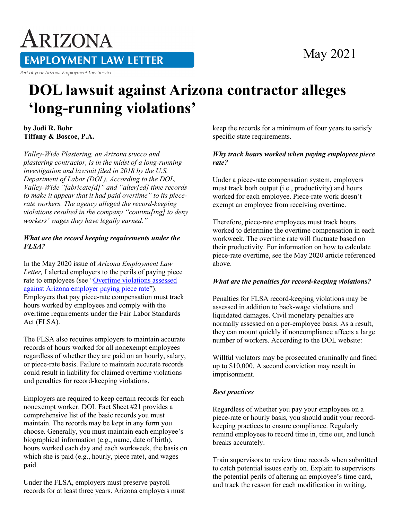# ARIZONA **EMPLOYMENT LAW LETTER**

Part of your Arizona Employment Law Service

### May 2021

## **DOL lawsuit against Arizona contractor alleges 'long-running violations'**

**by Jodi R. Bohr Tiffany & Boscoe, P.A.**

*Valley-Wide Plastering, an Arizona stucco and plastering contractor, is in the midst of a long-running investigation and lawsuit filed in 2018 by the U.S. Department of Labor (DOL). According to the DOL, Valley-Wide "fabricate[d]" and "alter[ed] time records to make it appear that it had paid overtime" to its piecerate workers. The agency alleged the record-keeping violations resulted in the company "continu[ing] to deny workers' wages they have legally earned."*

#### *What are the record keeping requirements under the FLSA?*

In the May 2020 issue of *Arizona Employment Law Letter,* I alerted employers to the perils of paying piece rate to employees (see ["Overtime violations assessed](https://www.hrlaws.com/node/1260198)  [against Arizona employer paying piece rate"](https://www.hrlaws.com/node/1260198)). Employers that pay piece-rate compensation must track hours worked by employees and comply with the overtime requirements under the Fair Labor Standards Act (FLSA).

The FLSA also requires employers to maintain accurate records of hours worked for all nonexempt employees regardless of whether they are paid on an hourly, salary, or piece-rate basis. Failure to maintain accurate records could result in liability for claimed overtime violations and penalties for record-keeping violations.

Employers are required to keep certain records for each nonexempt worker. DOL Fact Sheet #21 provides a comprehensive list of the basic records you must maintain. The records may be kept in any form you choose. Generally, you must maintain each employee's biographical information (e.g., name, date of birth), hours worked each day and each workweek, the basis on which she is paid (e.g., hourly, piece rate), and wages paid.

Under the FLSA, employers must preserve payroll records for at least three years. Arizona employers must keep the records for a minimum of four years to satisfy specific state requirements.

#### *Why track hours worked when paying employees piece rate?*

Under a piece-rate compensation system, employers must track both output (i.e., productivity) and hours worked for each employee. Piece-rate work doesn't exempt an employee from receiving overtime.

Therefore, piece-rate employees must track hours worked to determine the overtime compensation in each workweek. The overtime rate will fluctuate based on their productivity. For information on how to calculate piece-rate overtime, see the May 2020 article referenced above.

#### *What are the penalties for record-keeping violations?*

Penalties for FLSA record-keeping violations may be assessed in addition to back-wage violations and liquidated damages. Civil monetary penalties are normally assessed on a per-employee basis. As a result, they can mount quickly if noncompliance affects a large number of workers. According to the DOL website:

Willful violators may be prosecuted criminally and fined up to \$10,000. A second conviction may result in imprisonment.

#### *Best practices*

Regardless of whether you pay your employees on a piece-rate or hourly basis, you should audit your recordkeeping practices to ensure compliance. Regularly remind employees to record time in, time out, and lunch breaks accurately.

Train supervisors to review time records when submitted to catch potential issues early on. Explain to supervisors the potential perils of altering an employee's time card, and track the reason for each modification in writing.